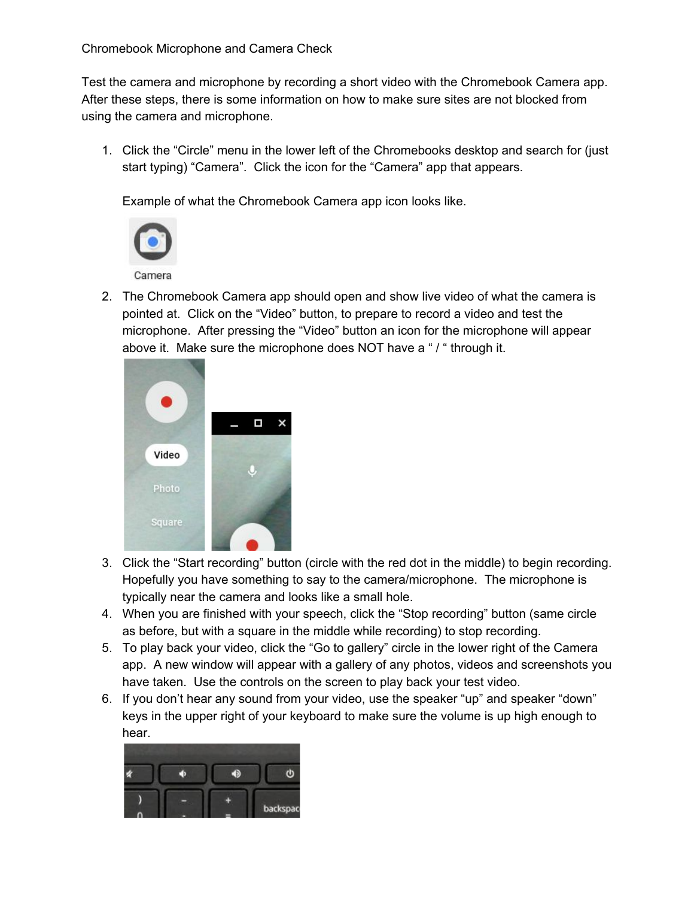Test the camera and microphone by recording a short video with the Chromebook Camera app. After these steps, there is some information on how to make sure sites are not blocked from using the camera and microphone.

1. Click the "Circle" menu in the lower left of the Chromebooks desktop and search for (just start typing) "Camera". Click the icon for the "Camera" app that appears.

Example of what the Chromebook Camera app icon looks like.



2. The Chromebook Camera app should open and show live video of what the camera is pointed at. Click on the "Video" button, to prepare to record a video and test the microphone. After pressing the "Video" button an icon for the microphone will appear above it. Make sure the microphone does NOT have a " / " through it.



- 3. Click the "Start recording" button (circle with the red dot in the middle) to begin recording. Hopefully you have something to say to the camera/microphone. The microphone is typically near the camera and looks like a small hole.
- 4. When you are finished with your speech, click the "Stop recording" button (same circle as before, but with a square in the middle while recording) to stop recording.
- 5. To play back your video, click the "Go to gallery" circle in the lower right of the Camera app. A new window will appear with a gallery of any photos, videos and screenshots you have taken. Use the controls on the screen to play back your test video.
- 6. If you don't hear any sound from your video, use the speaker "up" and speaker "down" keys in the upper right of your keyboard to make sure the volume is up high enough to hear.